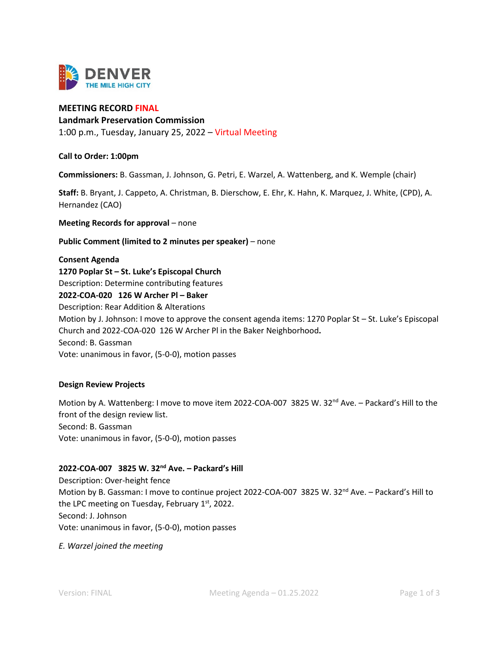

# **MEETING RECORD FINAL**

#### **Landmark Preservation Commission**

1:00 p.m., Tuesday, January 25, 2022 – Virtual Meeting

**Call to Order: 1:00pm**

**Commissioners:** B. Gassman, J. Johnson, G. Petri, E. Warzel, A. Wattenberg, and K. Wemple (chair)

**Staff:** B. Bryant, J. Cappeto, A. Christman, B. Dierschow, E. Ehr, K. Hahn, K. Marquez, J. White, (CPD), A. Hernandez (CAO)

**Meeting Records for approval** – none

**Public Comment (limited to 2 minutes per speaker)** – none

#### **Consent Agenda**

**1270 Poplar St – St. Luke's Episcopal Church** Description: Determine contributing features **2022-COA-020 126 W Archer Pl – Baker**  Description: Rear Addition & Alterations Motion by J. Johnson: I move to approve the consent agenda items: 1270 Poplar St – St. Luke's Episcopal Church and 2022-COA-020 126 W Archer Pl in the Baker Neighborhood**.**

Second: B. Gassman

Vote: unanimous in favor, (5-0-0), motion passes

#### **Design Review Projects**

Motion by A. Wattenberg: I move to move item 2022-COA-007 3825 W. 32<sup>nd</sup> Ave. - Packard's Hill to the front of the design review list. Second: B. Gassman Vote: unanimous in favor, (5-0-0), motion passes

# **2022-COA-007 3825 W. 32nd Ave. – Packard's Hill**

Description: Over-height fence Motion by B. Gassman: I move to continue project 2022-COA-007 3825 W. 32<sup>nd</sup> Ave. - Packard's Hill to the LPC meeting on Tuesday, February  $1<sup>st</sup>$ , 2022. Second: J. Johnson Vote: unanimous in favor, (5-0-0), motion passes

#### *E. Warzel joined the meeting*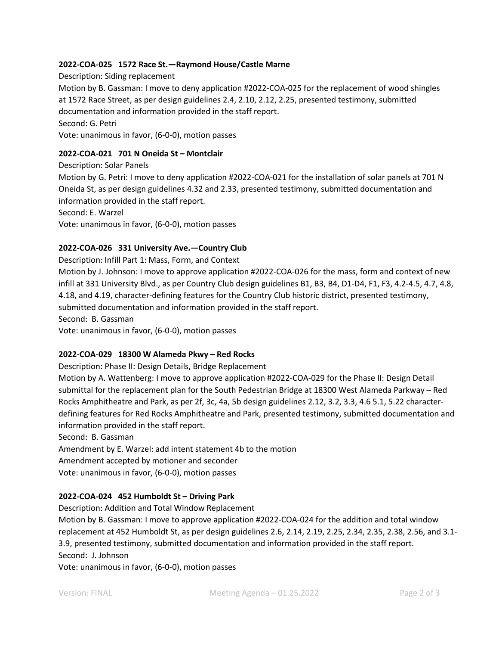# **2022-COA-025 1572 Race St.—Raymond House/Castle Marne**

Description: Siding replacement Motion by B. Gassman: I move to deny application #2022-COA-025 for the replacement of wood shingles at 1572 Race Street, as per design guidelines 2.4, 2.10, 2.12, 2.25, presented testimony, submitted documentation and information provided in the staff report. Second: G. Petri Vote: unanimous in favor, (6-0-0), motion passes

# **2022-COA-021 701 N Oneida St – Montclair**

Description: Solar Panels Motion by G. Petri: I move to deny application #2022-COA-021 for the installation of solar panels at 701 N Oneida St, as per design guidelines 4.32 and 2.33, presented testimony, submitted documentation and information provided in the staff report. Second: E. Warzel Vote: unanimous in favor, (6-0-0), motion passes

# **2022-COA-026 331 University Ave.—Country Club**

Description: Infill Part 1: Mass, Form, and Context

Motion by J. Johnson: I move to approve application #2022-COA-026 for the mass, form and context of new infill at 331 University Blvd., as per Country Club design guidelines B1, B3, B4, D1-D4, F1, F3, 4.2-4.5, 4.7, 4.8, 4.18, and 4.19, character-defining features for the Country Club historic district, presented testimony, submitted documentation and information provided in the staff report. Second: B. Gassman Vote: unanimous in favor, (6-0-0), motion passes

#### **2022-COA-029 18300 W Alameda Pkwy – Red Rocks**

Description: Phase II: Design Details, Bridge Replacement

Motion by A. Wattenberg: I move to approve application #2022-COA-029 for the Phase II: Design Detail submittal for the replacement plan for the South Pedestrian Bridge at 18300 West Alameda Parkway – Red Rocks Amphitheatre and Park, as per 2f, 3c, 4a, 5b design guidelines 2.12, 3.2, 3.3, 4.6 5.1, 5.22 characterdefining features for Red Rocks Amphitheatre and Park, presented testimony, submitted documentation and information provided in the staff report.

Second: B. Gassman

Amendment by E. Warzel: add intent statement 4b to the motion Amendment accepted by motioner and seconder Vote: unanimous in favor, (6-0-0), motion passes

#### **2022-COA-024 452 Humboldt St – Driving Park**

Description: Addition and Total Window Replacement

Motion by B. Gassman: I move to approve application #2022-COA-024 for the addition and total window replacement at 452 Humboldt St, as per design guidelines 2.6, 2.14, 2.19, 2.25, 2.34, 2.35, 2.38, 2.56, and 3.1- 3.9, presented testimony, submitted documentation and information provided in the staff report. Second: J. Johnson

Vote: unanimous in favor, (6-0-0), motion passes